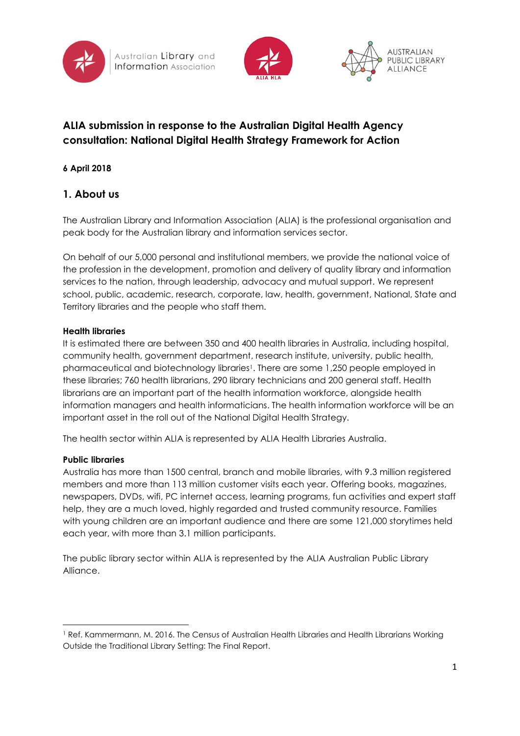





# **ALIA submission in response to the Australian Digital Health Agency consultation: National Digital Health Strategy Framework for Action**

### **6 April 2018**

## **1. About us**

The Australian Library and Information Association (ALIA) is the professional organisation and peak body for the Australian library and information services sector.

On behalf of our 5,000 personal and institutional members, we provide the national voice of the profession in the development, promotion and delivery of quality library and information services to the nation, through leadership, advocacy and mutual support. We represent school, public, academic, research, corporate, law, health, government, National, State and Territory libraries and the people who staff them.

#### **Health libraries**

It is estimated there are between 350 and 400 health libraries in Australia, including hospital, community health, government department, research institute, university, public health, pharmaceutical and biotechnology libraries1. There are some 1,250 people employed in these libraries; 760 health librarians, 290 library technicians and 200 general staff. Health librarians are an important part of the health information workforce, alongside health information managers and health informaticians. The health information workforce will be an important asset in the roll out of the National Digital Health Strategy.

The health sector within ALIA is represented by ALIA Health Libraries Australia.

### **Public libraries**

1

Australia has more than 1500 central, branch and mobile libraries, with 9.3 million registered members and more than 113 million customer visits each year. Offering books, magazines, newspapers, DVDs, wifi, PC internet access, learning programs, fun activities and expert staff help, they are a much loved, highly regarded and trusted community resource. Families with young children are an important audience and there are some 121,000 storytimes held each year, with more than 3.1 million participants.

The public library sector within ALIA is represented by the ALIA Australian Public Library Alliance.

<sup>&</sup>lt;sup>1</sup> Ref. Kammermann, M. 2016. The Census of Australian Health Libraries and Health Librarians Working Outside the Traditional Library Setting: The Final Report.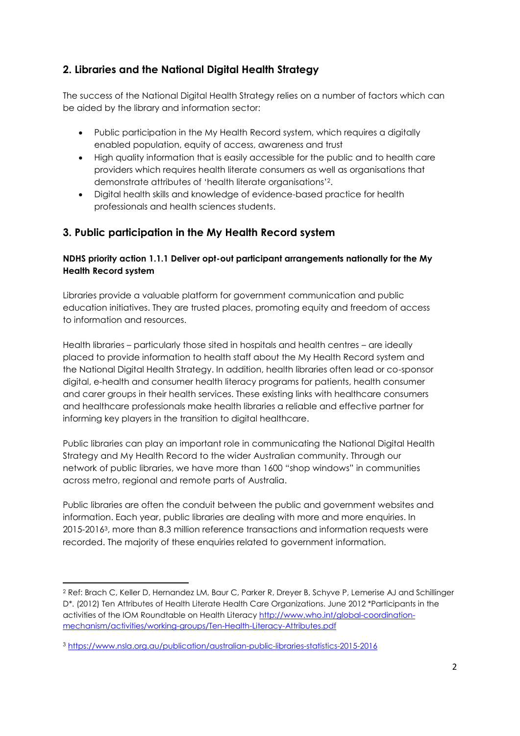## **2. Libraries and the National Digital Health Strategy**

The success of the National Digital Health Strategy relies on a number of factors which can be aided by the library and information sector:

- Public participation in the My Health Record system, which requires a digitally enabled population, equity of access, awareness and trust
- High quality information that is easily accessible for the public and to health care providers which requires health literate consumers as well as organisations that demonstrate attributes of 'health literate organisations'2.
- Digital health skills and knowledge of evidence-based practice for health professionals and health sciences students.

## **3. Public participation in the My Health Record system**

### **NDHS priority action 1.1.1 Deliver opt-out participant arrangements nationally for the My Health Record system**

Libraries provide a valuable platform for government communication and public education initiatives. They are trusted places, promoting equity and freedom of access to information and resources.

Health libraries – particularly those sited in hospitals and health centres – are ideally placed to provide information to health staff about the My Health Record system and the National Digital Health Strategy. In addition, health libraries often lead or co-sponsor digital, e-health and consumer health literacy programs for patients, health consumer and carer groups in their health services. These existing links with healthcare consumers and healthcare professionals make health libraries a reliable and effective partner for informing key players in the transition to digital healthcare.

Public libraries can play an important role in communicating the National Digital Health Strategy and My Health Record to the wider Australian community. Through our network of public libraries, we have more than 1600 "shop windows" in communities across metro, regional and remote parts of Australia.

Public libraries are often the conduit between the public and government websites and information. Each year, public libraries are dealing with more and more enquiries. In 2015-20163, more than 8.3 million reference transactions and information requests were recorded. The majority of these enquiries related to government information.

**.** 

<sup>2</sup> Ref: Brach C, Keller D, Hernandez LM, Baur C, Parker R, Dreyer B, Schyve P, Lemerise AJ and Schillinger D<sup>\*</sup>. (2012) Ten Attributes of Health Literate Health Care Organizations. June 2012 \*Participants in the activities of the IOM Roundtable on Health Literac[y http://www.who.int/global-coordination](http://www.who.int/global-coordination-mechanism/activities/working-groups/Ten-Health-Literacy-Attributes.pdf)[mechanism/activities/working-groups/Ten-Health-Literacy-Attributes.pdf](http://www.who.int/global-coordination-mechanism/activities/working-groups/Ten-Health-Literacy-Attributes.pdf)

<sup>3</sup> <https://www.nsla.org.au/publication/australian-public-libraries-statistics-2015-2016>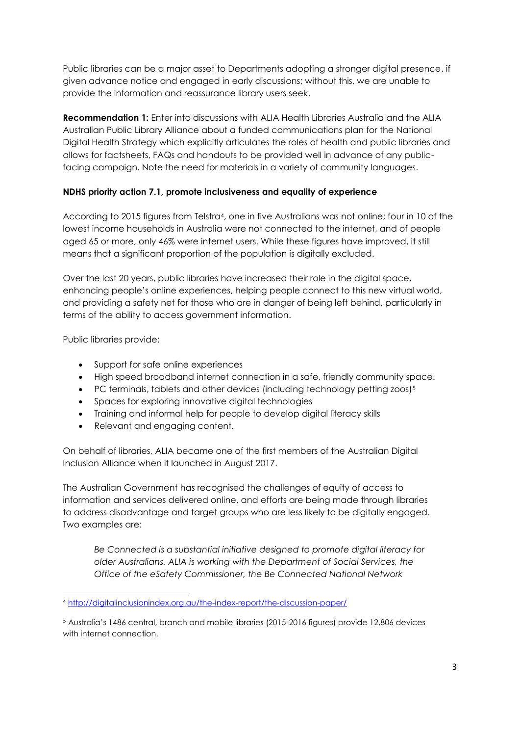Public libraries can be a major asset to Departments adopting a stronger digital presence, if given advance notice and engaged in early discussions; without this, we are unable to provide the information and reassurance library users seek.

**Recommendation 1:** Enter into discussions with ALIA Health Libraries Australia and the ALIA Australian Public Library Alliance about a funded communications plan for the National Digital Health Strategy which explicitly articulates the roles of health and public libraries and allows for factsheets, FAQs and handouts to be provided well in advance of any publicfacing campaign. Note the need for materials in a variety of community languages.

#### **NDHS priority action 7.1, promote inclusiveness and equality of experience**

According to 2015 figures from Telstra4, one in five Australians was not online; four in 10 of the lowest income households in Australia were not connected to the internet, and of people aged 65 or more, only 46% were internet users. While these figures have improved, it still means that a significant proportion of the population is digitally excluded.

Over the last 20 years, public libraries have increased their role in the digital space, enhancing people's online experiences, helping people connect to this new virtual world, and providing a safety net for those who are in danger of being left behind, particularly in terms of the ability to access government information.

Public libraries provide:

1

- Support for safe online experiences
- High speed broadband internet connection in a safe, friendly community space.
- PC terminals, tablets and other devices (including technology petting zoos)<sup>5</sup>
- Spaces for exploring innovative digital technologies
- Training and informal help for people to develop digital literacy skills
- Relevant and engaging content.

On behalf of libraries, ALIA became one of the first members of the Australian Digital Inclusion Alliance when it launched in August 2017.

The Australian Government has recognised the challenges of equity of access to information and services delivered online, and efforts are being made through libraries to address disadvantage and target groups who are less likely to be digitally engaged. Two examples are:

*Be Connected is a substantial initiative designed to promote digital literacy for older Australians. ALIA is working with the Department of Social Services, the Office of the eSafety Commissioner, the Be Connected National Network* 

<sup>4</sup> <http://digitalinclusionindex.org.au/the-index-report/the-discussion-paper/>

<sup>5</sup> Australia's 1486 central, branch and mobile libraries (2015-2016 figures) provide 12,806 devices with internet connection.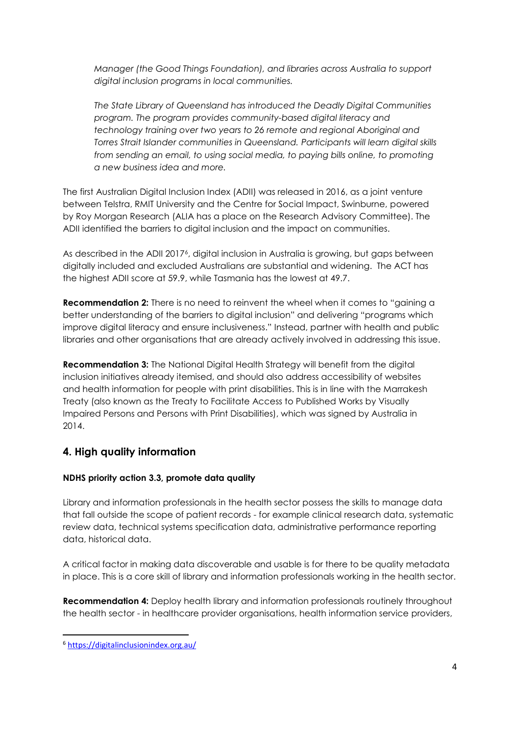*Manager (the Good Things Foundation), and libraries across Australia to support digital inclusion programs in local communities.*

*The State Library of Queensland has introduced the Deadly Digital Communities program. The program provides community-based digital literacy and technology training over two years to 26 remote and regional Aboriginal and Torres Strait Islander communities in Queensland. Participants will learn digital skills from sending an email, to using social media, to paying bills online, to promoting a new business idea and more.*

The first Australian Digital Inclusion Index (ADII) was released in 2016, as a joint venture between Telstra, RMIT University and the Centre for Social Impact, Swinburne, powered by Roy Morgan Research (ALIA has a place on the Research Advisory Committee). The ADII identified the barriers to digital inclusion and the impact on communities.

As described in the ADII 20176, digital inclusion in Australia is growing, but gaps between digitally included and excluded Australians are substantial and widening. The ACT has the highest ADII score at 59.9, while Tasmania has the lowest at 49.7.

**Recommendation 2:** There is no need to reinvent the wheel when it comes to "gaining a better understanding of the barriers to digital inclusion" and delivering "programs which improve digital literacy and ensure inclusiveness." Instead, partner with health and public libraries and other organisations that are already actively involved in addressing this issue.

**Recommendation 3:** The National Digital Health Strategy will benefit from the digital inclusion initiatives already itemised, and should also address accessibility of websites and health information for people with print disabilities. This is in line with the Marrakesh Treaty (also known as the Treaty to Facilitate Access to Published Works by Visually Impaired Persons and Persons with Print Disabilities), which was signed by Australia in 2014.

### **4. High quality information**

### **NDHS priority action 3.3, promote data quality**

Library and information professionals in the health sector possess the skills to manage data that fall outside the scope of patient records - for example clinical research data, systematic review data, technical systems specification data, administrative performance reporting data, historical data.

A critical factor in making data discoverable and usable is for there to be quality metadata in place. This is a core skill of library and information professionals working in the health sector.

**Recommendation 4:** Deploy health library and information professionals routinely throughout the health sector - in healthcare provider organisations, health information service providers,

1

<sup>6</sup> <https://digitalinclusionindex.org.au/>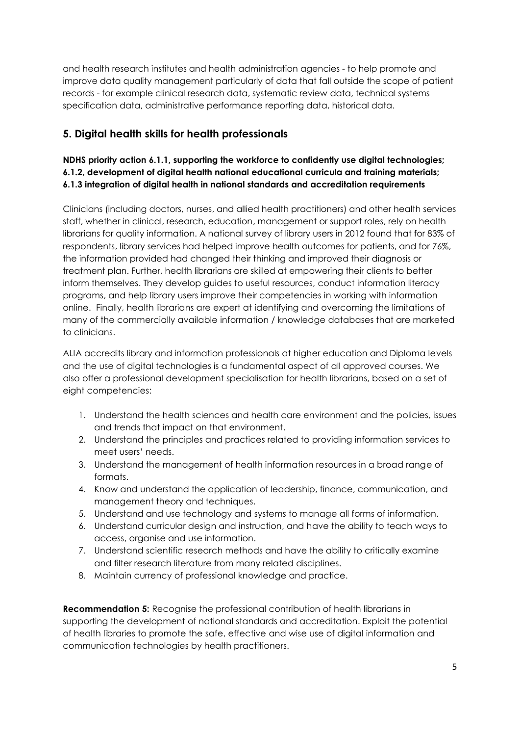and health research institutes and health administration agencies - to help promote and improve data quality management particularly of data that fall outside the scope of patient records - for example clinical research data, systematic review data, technical systems specification data, administrative performance reporting data, historical data.

## **5. Digital health skills for health professionals**

### **NDHS priority action 6.1.1, supporting the workforce to confidently use digital technologies; 6.1.2, development of digital health national educational curricula and training materials; 6.1.3 integration of digital health in national standards and accreditation requirements**

Clinicians (including doctors, nurses, and allied health practitioners) and other health services staff, whether in clinical, research, education, management or support roles, rely on health librarians for quality information. A national survey of library users in 2012 found that for 83% of respondents, library services had helped improve health outcomes for patients, and for 76%, the information provided had changed their thinking and improved their diagnosis or treatment plan. Further, health librarians are skilled at empowering their clients to better inform themselves. They develop guides to useful resources, conduct information literacy programs, and help library users improve their competencies in working with information online. Finally, health librarians are expert at identifying and overcoming the limitations of many of the commercially available information / knowledge databases that are marketed to clinicians.

ALIA accredits library and information professionals at higher education and Diploma levels and the use of digital technologies is a fundamental aspect of all approved courses. We also offer a professional development specialisation for health librarians, based on a set of eight competencies:

- 1. Understand the health sciences and health care environment and the policies, issues and trends that impact on that environment.
- 2. Understand the principles and practices related to providing information services to meet users' needs.
- 3. Understand the management of health information resources in a broad range of formats.
- 4. Know and understand the application of leadership, finance, communication, and management theory and techniques.
- 5. Understand and use technology and systems to manage all forms of information.
- 6. Understand curricular design and instruction, and have the ability to teach ways to access, organise and use information.
- 7. Understand scientific research methods and have the ability to critically examine and filter research literature from many related disciplines.
- 8. Maintain currency of professional knowledge and practice.

**Recommendation 5:** Recognise the professional contribution of health librarians in supporting the development of national standards and accreditation. Exploit the potential of health libraries to promote the safe, effective and wise use of digital information and communication technologies by health practitioners.